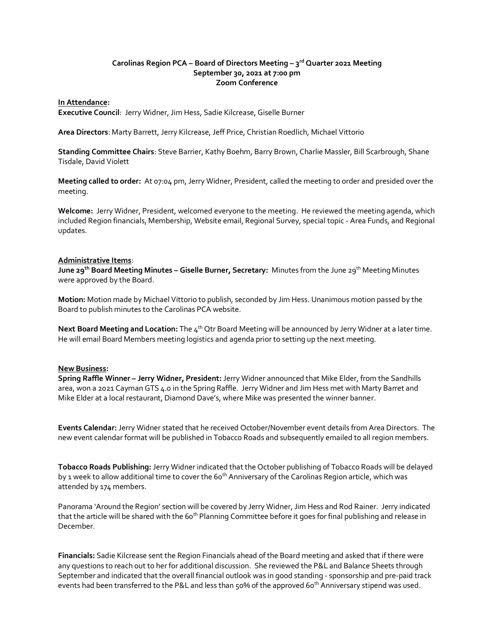## **Carolinas Region PCA – Board of Directors Meeting – 3 rd Quarter 2021 Meeting September 30, 2021 at 7:00 pm Zoom Conference**

## **In Attendance:**

**Executive Council**: Jerry Widner, Jim Hess, Sadie Kilcrease, Giselle Burner

**Area Directors**: Marty Barrett, Jerry Kilcrease, Jeff Price, Christian Roedlich, Michael Vittorio

**Standing Committee Chairs**: Steve Barrier, Kathy Boehm, Barry Brown, Charlie Massler, Bill Scarbrough, Shane Tisdale, David Violett

**Meeting called to order:** At 07:04 pm, Jerry Widner, President, called the meeting to order and presided over the meeting.

**Welcome:** Jerry Widner, President, welcomed everyone to the meeting. He reviewed the meeting agenda, which included Region financials, Membership, Website email, Regional Survey, special topic - Area Funds, and Regional updates.

## **Administrative Items**:

**June 29th Board Meeting Minutes – Giselle Burner, Secretary:** Minutes from the June 29th Meeting Minutes were approved by the Board.

**Motion:** Motion made by Michael Vittorio to publish, seconded by Jim Hess. Unanimous motion passed by the Board to publish minutes to the Carolinas PCA website.

Next Board Meeting and Location: The 4<sup>th</sup> Qtr Board Meeting will be announced by Jerry Widner at a later time. He will email Board Members meeting logistics and agenda prior to setting up the next meeting.

#### **New Business:**

**Spring Raffle Winner – Jerry Widner, President:** Jerry Widner announced that Mike Elder, from the Sandhills area, won a 2021 Cayman GTS 4.0 in the Spring Raffle. Jerry Widner and Jim Hess met with Marty Barret and Mike Elder at a local restaurant, Diamond Dave's, where Mike was presented the winner banner.

**Events Calendar:** Jerry Widner stated that he received October/November event details from Area Directors. The new event calendar format will be published in Tobacco Roads and subsequently emailed to all region members.

**Tobacco Roads Publishing:** Jerry Widner indicated that the October publishing of Tobacco Roads will be delayed by 1 week to allow additional time to cover the 60<sup>th</sup> Anniversary of the Carolinas Region article, which was attended by 174 members.

Panorama 'Around the Region' section will be covered by Jerry Widner, Jim Hess and Rod Rainer. Jerry indicated that the article will be shared with the 60<sup>th</sup> Planning Committee before it goes for final publishing and release in December.

**Financials:** Sadie Kilcrease sent the Region Financials ahead of the Board meeting and asked that if there were any questions to reach out to her for additional discussion. She reviewed the P&L and Balance Sheets through September and indicated that the overall financial outlook was in good standing - sponsorship and pre-paid track events had been transferred to the P&L and less than 50% of the approved 60<sup>th</sup> Anniversary stipend was used.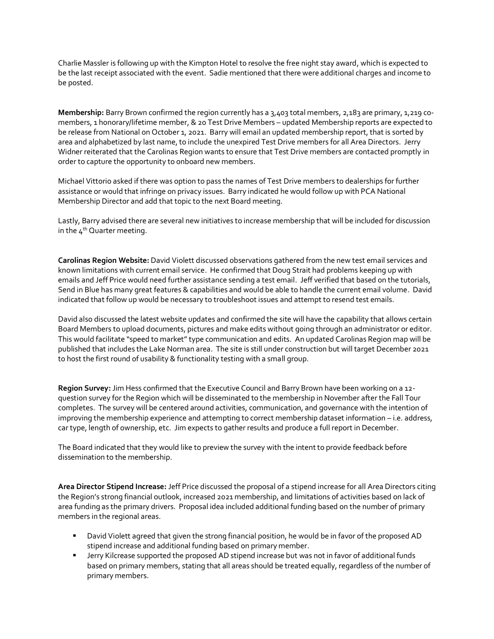Charlie Massler is following up with the Kimpton Hotel to resolve the free night stay award, which is expected to be the last receipt associated with the event. Sadie mentioned that there were additional charges and income to be posted.

**Membership:** Barry Brown confirmed the region currently has a 3,403 total members, 2,183 are primary, 1,219 comembers, 1 honorary/lifetime member, & 20 Test Drive Members – updated Membership reports are expected to be release from National on October 1, 2021. Barry will email an updated membership report, that is sorted by area and alphabetized by last name, to include the unexpired Test Drive members for all Area Directors. Jerry Widner reiterated that the Carolinas Region wants to ensure that Test Drive members are contacted promptly in order to capture the opportunity to onboard new members.

Michael Vittorio asked if there was option to pass the names of Test Drive members to dealerships for further assistance or would that infringe on privacy issues. Barry indicated he would follow up with PCA National Membership Director and add that topic to the next Board meeting.

Lastly, Barry advised there are several new initiatives to increase membership that will be included for discussion in the  $4^{th}$  Quarter meeting.

**Carolinas Region Website:** David Violett discussed observations gathered from the new test email services and known limitations with current email service. He confirmed that Doug Strait had problems keeping up with emails and Jeff Price would need further assistance sending a test email. Jeff verified that based on the tutorials, Send in Blue has many great features & capabilities and would be able to handle the current email volume. David indicated that follow up would be necessary to troubleshoot issues and attempt to resend test emails.

David also discussed the latest website updates and confirmed the site will have the capability that allows certain Board Members to upload documents, pictures and make edits without going through an administrator or editor. This would facilitate "speed to market" type communication and edits. An updated Carolinas Region map will be published that includes the Lake Norman area. The site is still under construction but will target December 2021 to host the first round of usability & functionality testing with a small group.

**Region Survey:**Jim Hess confirmed that the Executive Council and Barry Brown have been working on a 12 question survey for the Region which will be disseminated to the membership in November after the Fall Tour completes. The survey will be centered around activities, communication, and governance with the intention of improving the membership experience and attempting to correct membership dataset information – i.e. address, car type, length of ownership, etc. Jim expects to gather results and produce a full report in December.

The Board indicated that they would like to preview the survey with the intent to provide feedback before dissemination to the membership.

**Area Director Stipend Increase:** Jeff Price discussed the proposal of a stipend increase for all Area Directors citing the Region's strong financial outlook, increased 2021 membership, and limitations of activities based on lack of area funding as the primary drivers. Proposal idea included additional funding based on the number of primary members in the regional areas.

- David Violett agreed that given the strong financial position, he would be in favor of the proposed AD stipend increase and additional funding based on primary member.
- Jerry Kilcrease supported the proposed AD stipend increase but was not in favor of additional funds based on primary members, stating that all areas should be treated equally, regardless of the number of primary members.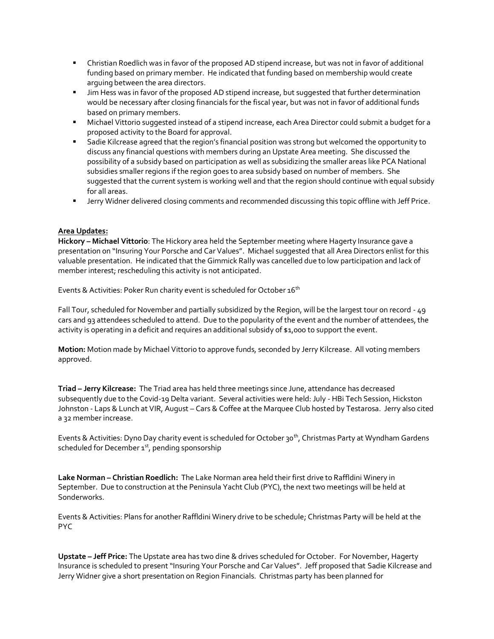- Christian Roedlich was in favor of the proposed AD stipend increase, but was not in favor of additional funding based on primary member. He indicated that funding based on membership would create arguing between the area directors.
- **■** Jim Hess was in favor of the proposed AD stipend increase, but suggested that further determination would be necessary after closing financials for the fiscal year, but was not in favor of additional funds based on primary members.
- Michael Vittorio suggested instead of a stipend increase, each Area Director could submit a budget for a proposed activity to the Board for approval.
- Sadie Kilcrease agreed that the region's financial position was strong but welcomed the opportunity to discuss any financial questions with members during an Upstate Area meeting. She discussed the possibility of a subsidy based on participation as well as subsidizing the smaller areas like PCA National subsidies smaller regions if the region goes to area subsidy based on number of members. She suggested that the current system is working well and that the region should continue with equal subsidy for all areas.
- **■** Jerry Widner delivered closing comments and recommended discussing this topic offline with Jeff Price.

# **Area Updates:**

**Hickory – Michael Vittorio**: The Hickory area held the September meeting where Hagerty Insurance gave a presentation on "Insuring Your Porsche and Car Values". Michael suggested that all Area Directors enlist for this valuable presentation. He indicated that the Gimmick Rally was cancelled due to low participation and lack of member interest; rescheduling this activity is not anticipated.

Events & Activities: Poker Run charity event is scheduled for October 16<sup>th</sup>

Fall Tour, scheduled for November and partially subsidized by the Region, will be the largest tour on record - 49 cars and 93 attendees scheduled to attend. Due to the popularity of the event and the number of attendees, the activity is operating in a deficit and requires an additional subsidy of \$1,000 to support the event.

**Motion:** Motion made by Michael Vittorio to approve funds, seconded by Jerry Kilcrease. All voting members approved.

**Triad – Jerry Kilcrease:** The Triad area has held three meetings since June, attendance has decreased subsequently due to the Covid-19 Delta variant. Several activities were held: July - HBi Tech Session, Hickston Johnston - Laps & Lunch at VIR, August – Cars & Coffee at the Marquee Club hosted by Testarosa. Jerry also cited a 32 member increase.

Events & Activities: Dyno Day charity event is scheduled for October 30<sup>th</sup>, Christmas Party at Wyndham Gardens scheduled for December  $1<sup>st</sup>$ , pending sponsorship

**Lake Norman – Christian Roedlich:** The Lake Norman area held their first drive to Raffldini Winery in September. Due to construction at the Peninsula Yacht Club (PYC), the next two meetings will be held at Sonderworks.

Events & Activities: Plans for another Raffldini Winery drive to be schedule; Christmas Party will be held at the PYC

**Upstate – Jeff Price:** The Upstate area has two dine & drives scheduled for October. For November, Hagerty Insurance is scheduled to present "Insuring Your Porsche and Car Values". Jeff proposed that Sadie Kilcrease and Jerry Widner give a short presentation on Region Financials. Christmas party has been planned for